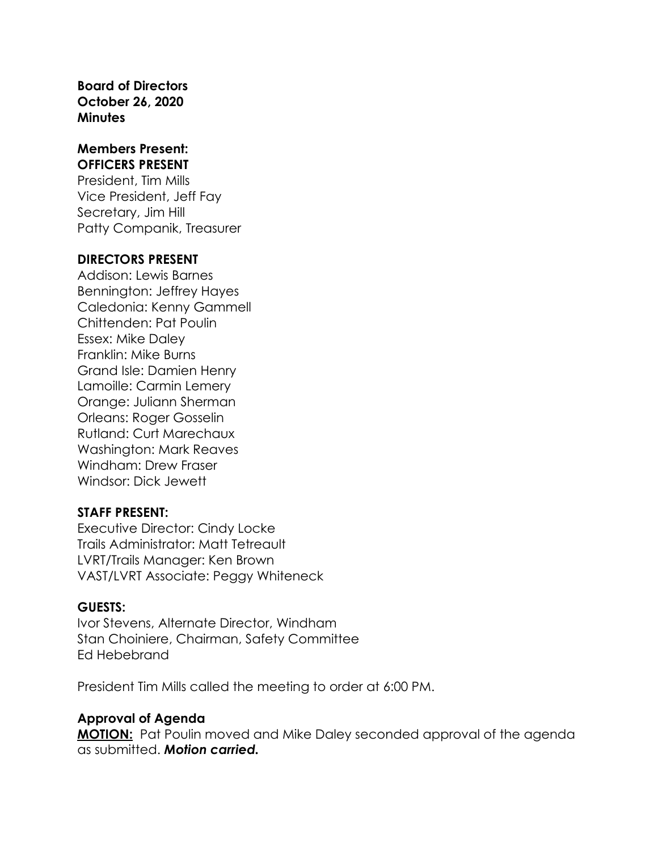**Board of Directors October 26, 2020 Minutes**

#### **Members Present: OFFICERS PRESENT**

President, Tim Mills Vice President, Jeff Fay Secretary, Jim Hill Patty Companik, Treasurer

#### **DIRECTORS PRESENT**

Addison: Lewis Barnes Bennington: Jeffrey Hayes Caledonia: Kenny Gammell Chittenden: Pat Poulin Essex: Mike Daley Franklin: Mike Burns Grand Isle: Damien Henry Lamoille: Carmin Lemery Orange: Juliann Sherman Orleans: Roger Gosselin Rutland: Curt Marechaux Washington: Mark Reaves Windham: Drew Fraser Windsor: Dick Jewett

#### **STAFF PRESENT:**

Executive Director: Cindy Locke Trails Administrator: Matt Tetreault LVRT/Trails Manager: Ken Brown VAST/LVRT Associate: Peggy Whiteneck

### **GUESTS:**

Ivor Stevens, Alternate Director, Windham Stan Choiniere, Chairman, Safety Committee Ed Hebebrand

President Tim Mills called the meeting to order at 6:00 PM.

### **Approval of Agenda**

**MOTION:** Pat Poulin moved and Mike Daley seconded approval of the agenda as submitted. *Motion carried.*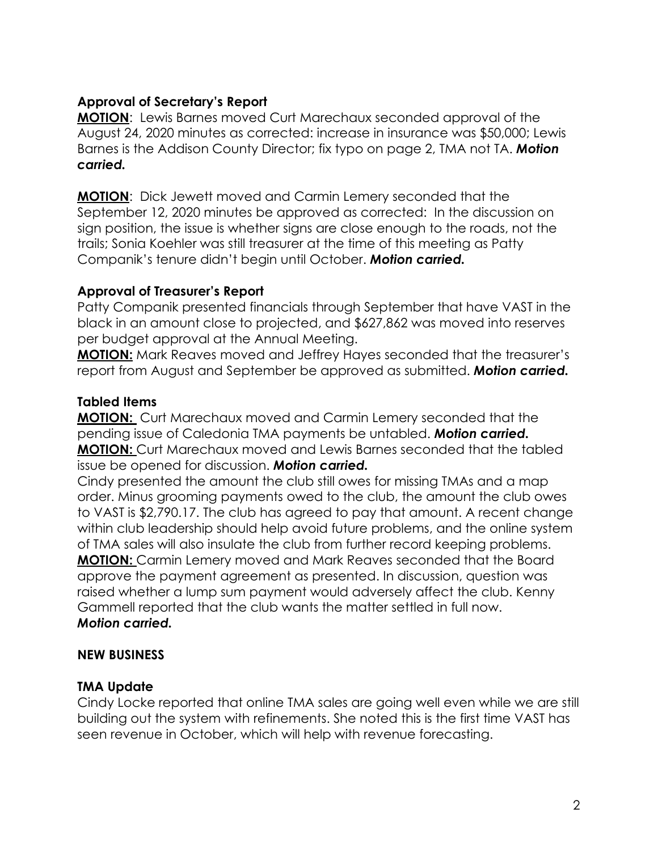## **Approval of Secretary's Report**

**MOTION**: Lewis Barnes moved Curt Marechaux seconded approval of the August 24, 2020 minutes as corrected: increase in insurance was \$50,000; Lewis Barnes is the Addison County Director; fix typo on page 2, TMA not TA. *Motion carried.*

**MOTION**: Dick Jewett moved and Carmin Lemery seconded that the September 12, 2020 minutes be approved as corrected: In the discussion on sign position, the issue is whether signs are close enough to the roads, not the trails; Sonia Koehler was still treasurer at the time of this meeting as Patty Companik's tenure didn't begin until October. *Motion carried.*

## **Approval of Treasurer's Report**

Patty Companik presented financials through September that have VAST in the black in an amount close to projected, and \$627,862 was moved into reserves per budget approval at the Annual Meeting.

**MOTION:** Mark Reaves moved and Jeffrey Hayes seconded that the treasurer's report from August and September be approved as submitted. *Motion carried.*

## **Tabled Items**

**MOTION:** Curt Marechaux moved and Carmin Lemery seconded that the pending issue of Caledonia TMA payments be untabled. *Motion carried.* **MOTION:** Curt Marechaux moved and Lewis Barnes seconded that the tabled issue be opened for discussion. *Motion carried.*

Cindy presented the amount the club still owes for missing TMAs and a map order. Minus grooming payments owed to the club, the amount the club owes to VAST is \$2,790.17. The club has agreed to pay that amount. A recent change within club leadership should help avoid future problems, and the online system of TMA sales will also insulate the club from further record keeping problems. **MOTION:** Carmin Lemery moved and Mark Reaves seconded that the Board approve the payment agreement as presented. In discussion, question was raised whether a lump sum payment would adversely affect the club. Kenny Gammell reported that the club wants the matter settled in full now. *Motion carried.*

# **NEW BUSINESS**

# **TMA Update**

Cindy Locke reported that online TMA sales are going well even while we are still building out the system with refinements. She noted this is the first time VAST has seen revenue in October, which will help with revenue forecasting.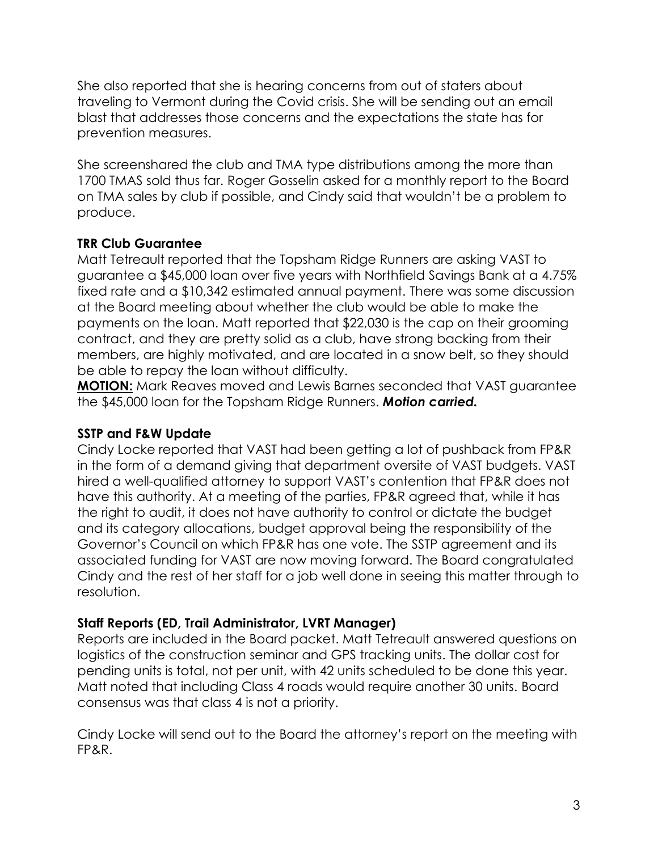She also reported that she is hearing concerns from out of staters about traveling to Vermont during the Covid crisis. She will be sending out an email blast that addresses those concerns and the expectations the state has for prevention measures.

She screenshared the club and TMA type distributions among the more than 1700 TMAS sold thus far. Roger Gosselin asked for a monthly report to the Board on TMA sales by club if possible, and Cindy said that wouldn't be a problem to produce.

# **TRR Club Guarantee**

Matt Tetreault reported that the Topsham Ridge Runners are asking VAST to guarantee a \$45,000 loan over five years with Northfield Savings Bank at a 4.75% fixed rate and a \$10,342 estimated annual payment. There was some discussion at the Board meeting about whether the club would be able to make the payments on the loan. Matt reported that \$22,030 is the cap on their grooming contract, and they are pretty solid as a club, have strong backing from their members, are highly motivated, and are located in a snow belt, so they should be able to repay the loan without difficulty.

**MOTION:** Mark Reaves moved and Lewis Barnes seconded that VAST guarantee the \$45,000 loan for the Topsham Ridge Runners. *Motion carried.*

# **SSTP and F&W Update**

Cindy Locke reported that VAST had been getting a lot of pushback from FP&R in the form of a demand giving that department oversite of VAST budgets. VAST hired a well-qualified attorney to support VAST's contention that FP&R does not have this authority. At a meeting of the parties, FP&R agreed that, while it has the right to audit, it does not have authority to control or dictate the budget and its category allocations, budget approval being the responsibility of the Governor's Council on which FP&R has one vote. The SSTP agreement and its associated funding for VAST are now moving forward. The Board congratulated Cindy and the rest of her staff for a job well done in seeing this matter through to resolution.

# **Staff Reports (ED, Trail Administrator, LVRT Manager)**

Reports are included in the Board packet. Matt Tetreault answered questions on logistics of the construction seminar and GPS tracking units. The dollar cost for pending units is total, not per unit, with 42 units scheduled to be done this year. Matt noted that including Class 4 roads would require another 30 units. Board consensus was that class 4 is not a priority.

Cindy Locke will send out to the Board the attorney's report on the meeting with FP&R.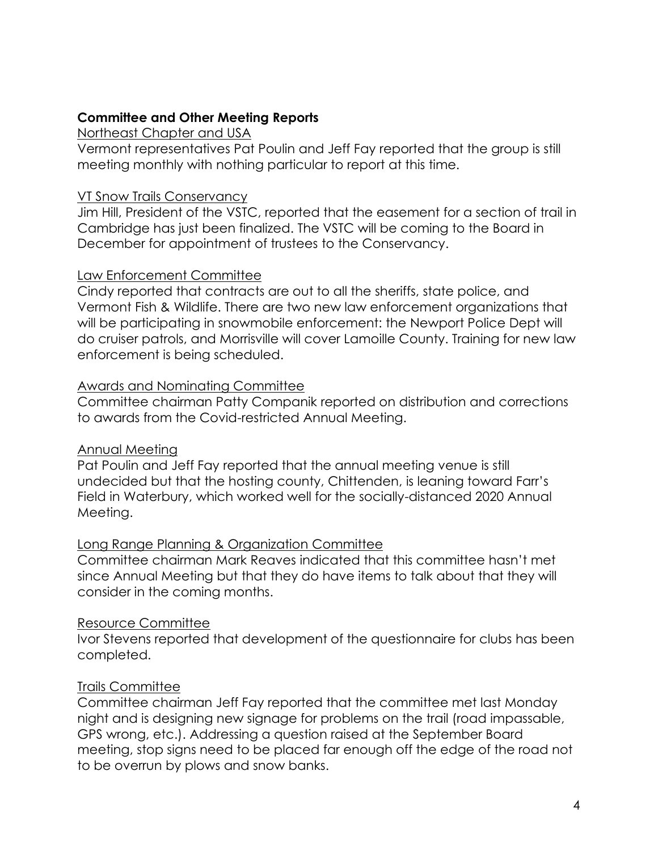## **Committee and Other Meeting Reports**

#### Northeast Chapter and USA

Vermont representatives Pat Poulin and Jeff Fay reported that the group is still meeting monthly with nothing particular to report at this time.

## VT Snow Trails Conservancy

Jim Hill, President of the VSTC, reported that the easement for a section of trail in Cambridge has just been finalized. The VSTC will be coming to the Board in December for appointment of trustees to the Conservancy.

## Law Enforcement Committee

Cindy reported that contracts are out to all the sheriffs, state police, and Vermont Fish & Wildlife. There are two new law enforcement organizations that will be participating in snowmobile enforcement: the Newport Police Dept will do cruiser patrols, and Morrisville will cover Lamoille County. Training for new law enforcement is being scheduled.

## Awards and Nominating Committee

Committee chairman Patty Companik reported on distribution and corrections to awards from the Covid-restricted Annual Meeting.

### Annual Meeting

Pat Poulin and Jeff Fay reported that the annual meeting venue is still undecided but that the hosting county, Chittenden, is leaning toward Farr's Field in Waterbury, which worked well for the socially-distanced 2020 Annual Meeting.

# Long Range Planning & Organization Committee

Committee chairman Mark Reaves indicated that this committee hasn't met since Annual Meeting but that they do have items to talk about that they will consider in the coming months.

# Resource Committee

Ivor Stevens reported that development of the questionnaire for clubs has been completed.

# Trails Committee

Committee chairman Jeff Fay reported that the committee met last Monday night and is designing new signage for problems on the trail (road impassable, GPS wrong, etc.). Addressing a question raised at the September Board meeting, stop signs need to be placed far enough off the edge of the road not to be overrun by plows and snow banks.